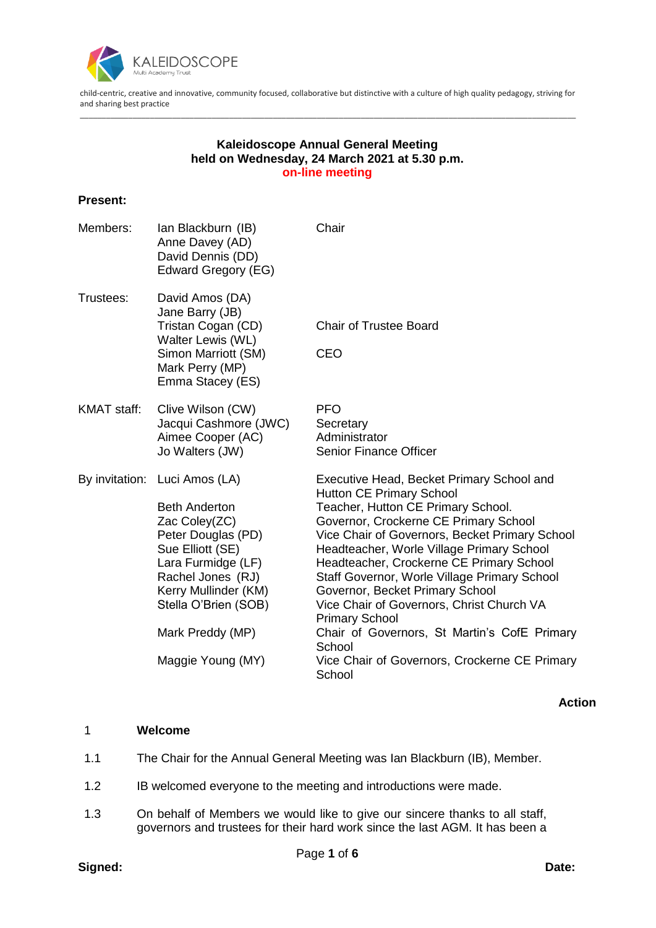

child-centric, creative and innovative, community focused, collaborative but distinctive with a culture of high quality pedagogy, striving for and sharing best practice \_\_\_\_\_\_\_\_\_\_\_\_\_\_\_\_\_\_\_\_\_\_\_\_\_\_\_\_\_\_\_\_\_\_\_\_\_\_\_\_\_\_\_\_\_\_\_\_\_\_\_\_\_\_\_\_\_\_\_\_\_\_\_\_\_\_\_\_\_\_\_\_\_\_\_\_\_\_\_\_\_\_\_\_\_\_\_\_\_\_\_\_\_\_\_\_\_\_\_\_\_\_\_\_\_\_\_\_\_\_\_\_\_

## **Kaleidoscope Annual General Meeting held on Wednesday, 24 March 2021 at 5.30 p.m. on-line meeting**

#### **Present:**

| Ian Blackburn (IB)<br>Anne Davey (AD)<br>David Dennis (DD)<br>Edward Gregory (EG)                                                                                                                                                                    | Chair                                                                                                                                                                                                                                                                                                                                                                                                                                                                                                                                                                                |
|------------------------------------------------------------------------------------------------------------------------------------------------------------------------------------------------------------------------------------------------------|--------------------------------------------------------------------------------------------------------------------------------------------------------------------------------------------------------------------------------------------------------------------------------------------------------------------------------------------------------------------------------------------------------------------------------------------------------------------------------------------------------------------------------------------------------------------------------------|
| David Amos (DA)<br>Jane Barry (JB)<br>Tristan Cogan (CD)<br>Walter Lewis (WL)<br>Simon Marriott (SM)<br>Mark Perry (MP)<br>Emma Stacey (ES)                                                                                                          | <b>Chair of Trustee Board</b><br><b>CEO</b>                                                                                                                                                                                                                                                                                                                                                                                                                                                                                                                                          |
| Clive Wilson (CW)<br>Jacqui Cashmore (JWC)<br>Aimee Cooper (AC)<br>Jo Walters (JW)                                                                                                                                                                   | <b>PFO</b><br>Secretary<br>Administrator<br><b>Senior Finance Officer</b>                                                                                                                                                                                                                                                                                                                                                                                                                                                                                                            |
| By invitation: Luci Amos (LA)<br><b>Beth Anderton</b><br>Zac Coley(ZC)<br>Peter Douglas (PD)<br>Sue Elliott (SE)<br>Lara Furmidge (LF)<br>Rachel Jones (RJ)<br>Kerry Mullinder (KM)<br>Stella O'Brien (SOB)<br>Mark Preddy (MP)<br>Maggie Young (MY) | Executive Head, Becket Primary School and<br><b>Hutton CE Primary School</b><br>Teacher, Hutton CE Primary School.<br>Governor, Crockerne CE Primary School<br>Vice Chair of Governors, Becket Primary School<br>Headteacher, Worle Village Primary School<br>Headteacher, Crockerne CE Primary School<br>Staff Governor, Worle Village Primary School<br>Governor, Becket Primary School<br>Vice Chair of Governors, Christ Church VA<br><b>Primary School</b><br>Chair of Governors, St Martin's CofE Primary<br>School<br>Vice Chair of Governors, Crockerne CE Primary<br>School |
|                                                                                                                                                                                                                                                      |                                                                                                                                                                                                                                                                                                                                                                                                                                                                                                                                                                                      |

**Action**

## 1 **Welcome**

- 1.1 The Chair for the Annual General Meeting was Ian Blackburn (IB), Member.
- 1.2 IB welcomed everyone to the meeting and introductions were made.
- 1.3 On behalf of Members we would like to give our sincere thanks to all staff, governors and trustees for their hard work since the last AGM. It has been a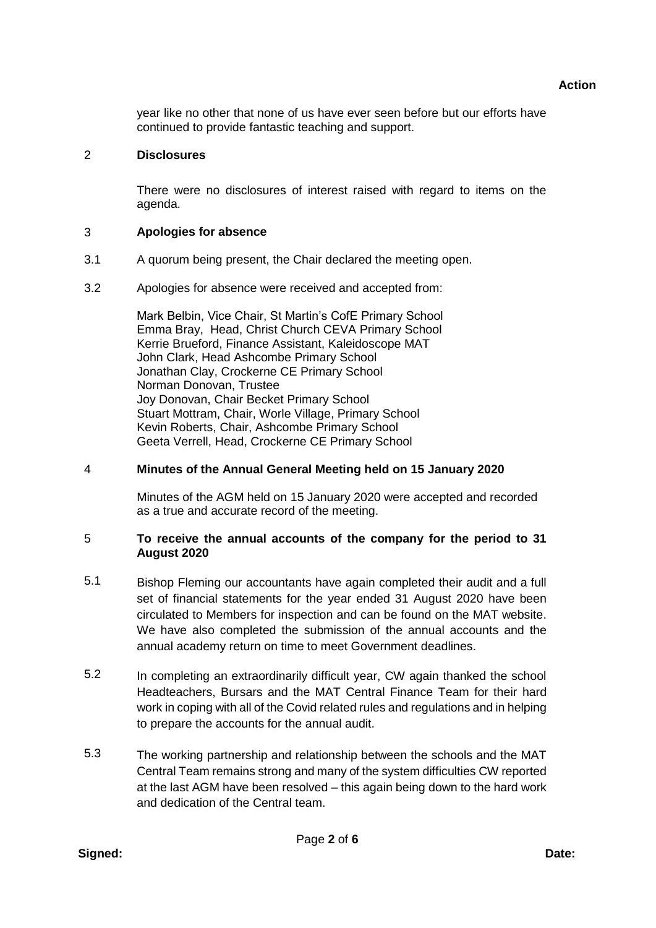year like no other that none of us have ever seen before but our efforts have continued to provide fantastic teaching and support.

## 2 **Disclosures**

There were no disclosures of interest raised with regard to items on the agenda.

#### 3 **Apologies for absence**

- 3.1 A quorum being present, the Chair declared the meeting open.
- 3.2 Apologies for absence were received and accepted from:

Mark Belbin, Vice Chair, St Martin's CofE Primary School Emma Bray, Head, Christ Church CEVA Primary School Kerrie Brueford, Finance Assistant, Kaleidoscope MAT John Clark, Head Ashcombe Primary School Jonathan Clay, Crockerne CE Primary School Norman Donovan, Trustee Joy Donovan, Chair Becket Primary School Stuart Mottram, Chair, Worle Village, Primary School Kevin Roberts, Chair, Ashcombe Primary School Geeta Verrell, Head, Crockerne CE Primary School

## 4 **Minutes of the Annual General Meeting held on 15 January 2020**

Minutes of the AGM held on 15 January 2020 were accepted and recorded as a true and accurate record of the meeting.

#### 5 **To receive the annual accounts of the company for the period to 31 August 2020**

- 5.1 Bishop Fleming our accountants have again completed their audit and a full set of financial statements for the year ended 31 August 2020 have been circulated to Members for inspection and can be found on the MAT website. We have also completed the submission of the annual accounts and the annual academy return on time to meet Government deadlines.
- 5.2 In completing an extraordinarily difficult year, CW again thanked the school Headteachers, Bursars and the MAT Central Finance Team for their hard work in coping with all of the Covid related rules and regulations and in helping to prepare the accounts for the annual audit.
- 5.3 The working partnership and relationship between the schools and the MAT Central Team remains strong and many of the system difficulties CW reported at the last AGM have been resolved – this again being down to the hard work and dedication of the Central team.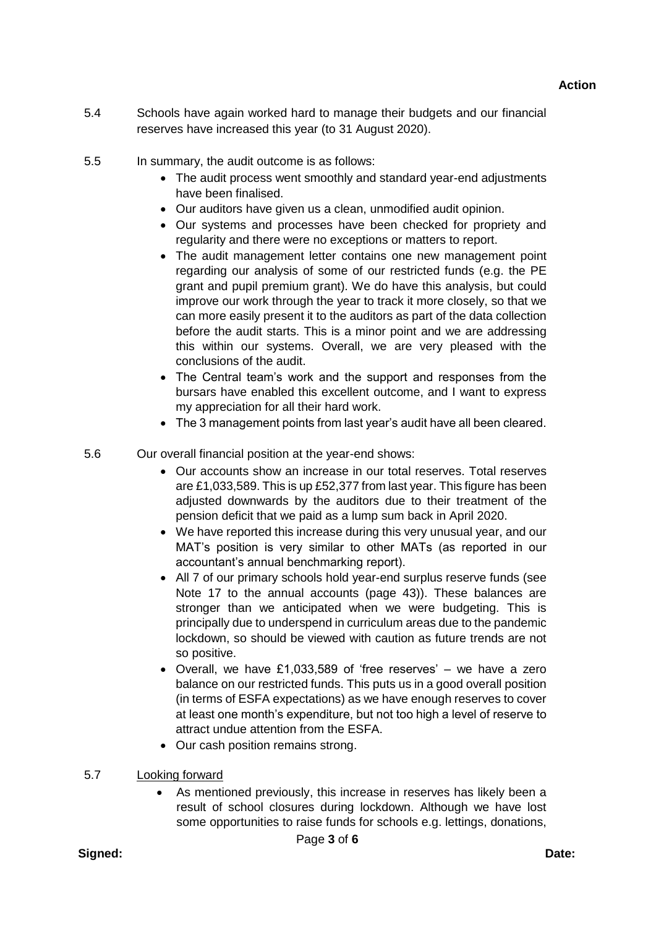- 5.4 Schools have again worked hard to manage their budgets and our financial reserves have increased this year (to 31 August 2020).
- 5.5 In summary, the audit outcome is as follows:
	- The audit process went smoothly and standard year-end adjustments have been finalised.
	- Our auditors have given us a clean, unmodified audit opinion.
	- Our systems and processes have been checked for propriety and regularity and there were no exceptions or matters to report.
	- The audit management letter contains one new management point regarding our analysis of some of our restricted funds (e.g. the PE grant and pupil premium grant). We do have this analysis, but could improve our work through the year to track it more closely, so that we can more easily present it to the auditors as part of the data collection before the audit starts. This is a minor point and we are addressing this within our systems. Overall, we are very pleased with the conclusions of the audit.
	- The Central team's work and the support and responses from the bursars have enabled this excellent outcome, and I want to express my appreciation for all their hard work.
	- The 3 management points from last year's audit have all been cleared.

5.6 Our overall financial position at the year-end shows:

- Our accounts show an increase in our total reserves. Total reserves are £1,033,589. This is up £52,377 from last year. This figure has been adjusted downwards by the auditors due to their treatment of the pension deficit that we paid as a lump sum back in April 2020.
- We have reported this increase during this very unusual year, and our MAT's position is very similar to other MATs (as reported in our accountant's annual benchmarking report).
- All 7 of our primary schools hold year-end surplus reserve funds (see Note 17 to the annual accounts (page 43)). These balances are stronger than we anticipated when we were budgeting. This is principally due to underspend in curriculum areas due to the pandemic lockdown, so should be viewed with caution as future trends are not so positive.
- Overall, we have £1,033,589 of 'free reserves' we have a zero balance on our restricted funds. This puts us in a good overall position (in terms of ESFA expectations) as we have enough reserves to cover at least one month's expenditure, but not too high a level of reserve to attract undue attention from the ESFA.
- Our cash position remains strong.
- 5.7 Looking forward
	- As mentioned previously, this increase in reserves has likely been a result of school closures during lockdown. Although we have lost some opportunities to raise funds for schools e.g. lettings, donations,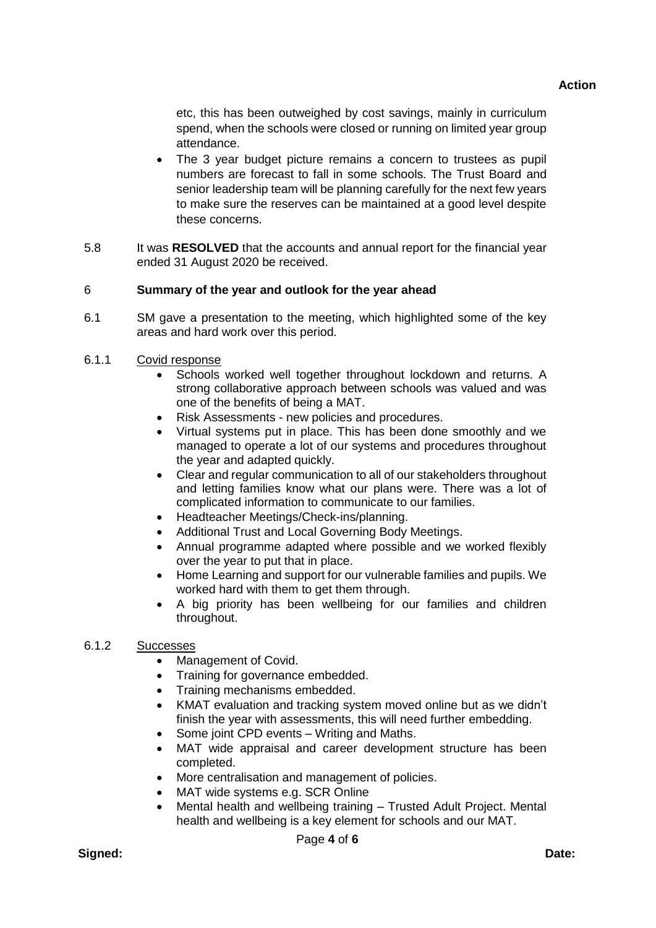**Action**

etc, this has been outweighed by cost savings, mainly in curriculum spend, when the schools were closed or running on limited year group attendance.

- The 3 year budget picture remains a concern to trustees as pupil numbers are forecast to fall in some schools. The Trust Board and senior leadership team will be planning carefully for the next few years to make sure the reserves can be maintained at a good level despite these concerns.
- 5.8 It was **RESOLVED** that the accounts and annual report for the financial year ended 31 August 2020 be received.

## 6 **Summary of the year and outlook for the year ahead**

- 6.1 SM gave a presentation to the meeting, which highlighted some of the key areas and hard work over this period.
- 6.1.1 Covid response
	- Schools worked well together throughout lockdown and returns. A strong collaborative approach between schools was valued and was one of the benefits of being a MAT.
	- Risk Assessments new policies and procedures.
	- Virtual systems put in place. This has been done smoothly and we managed to operate a lot of our systems and procedures throughout the year and adapted quickly.
	- Clear and regular communication to all of our stakeholders throughout and letting families know what our plans were. There was a lot of complicated information to communicate to our families.
	- Headteacher Meetings/Check-ins/planning.
	- Additional Trust and Local Governing Body Meetings.
	- Annual programme adapted where possible and we worked flexibly over the year to put that in place.
	- Home Learning and support for our vulnerable families and pupils. We worked hard with them to get them through.
	- A big priority has been wellbeing for our families and children throughout.

## 6.1.2 Successes

- Management of Covid.
- Training for governance embedded.
- Training mechanisms embedded.
- KMAT evaluation and tracking system moved online but as we didn't finish the year with assessments, this will need further embedding.
- Some joint CPD events Writing and Maths.
- MAT wide appraisal and career development structure has been completed.
- More centralisation and management of policies.
- MAT wide systems e.g. SCR Online
- Mental health and wellbeing training Trusted Adult Project. Mental health and wellbeing is a key element for schools and our MAT.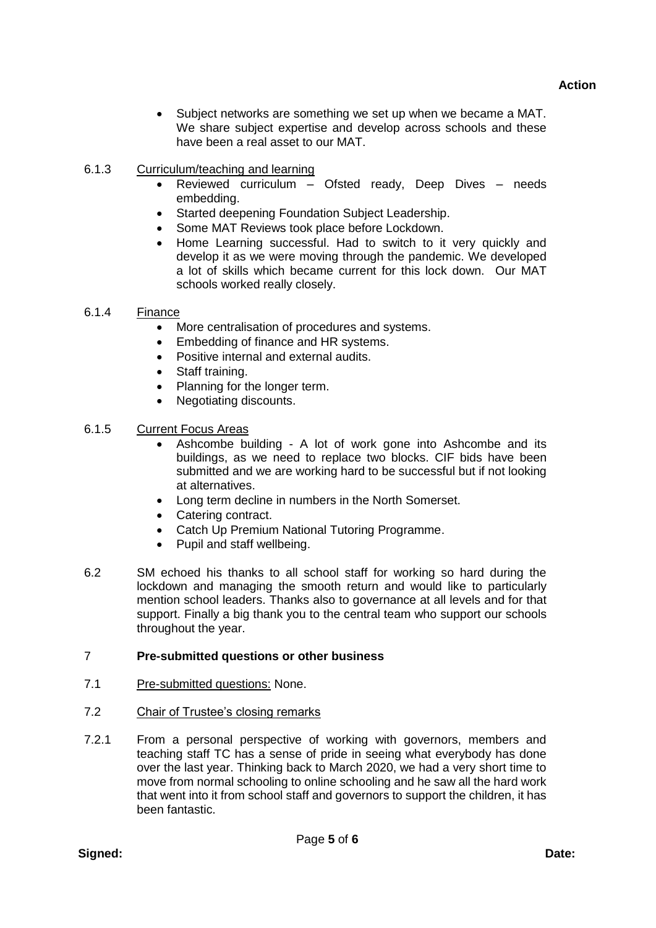Subject networks are something we set up when we became a MAT. We share subject expertise and develop across schools and these have been a real asset to our MAT.

# 6.1.3 Curriculum/teaching and learning

- Reviewed curriculum Ofsted ready, Deep Dives needs embedding.
- Started deepening Foundation Subject Leadership.
- Some MAT Reviews took place before Lockdown.
- Home Learning successful. Had to switch to it very quickly and develop it as we were moving through the pandemic. We developed a lot of skills which became current for this lock down. Our MAT schools worked really closely.

## 6.1.4 Finance

- More centralisation of procedures and systems.
- Embedding of finance and HR systems.
- Positive internal and external audits.
- Staff training.
- Planning for the longer term.
- Negotiating discounts.
- 6.1.5 Current Focus Areas
	- Ashcombe building A lot of work gone into Ashcombe and its buildings, as we need to replace two blocks. CIF bids have been submitted and we are working hard to be successful but if not looking at alternatives.
	- Long term decline in numbers in the North Somerset.
	- Catering contract.
	- Catch Up Premium National Tutoring Programme.
	- Pupil and staff wellbeing.
- 6.2 SM echoed his thanks to all school staff for working so hard during the lockdown and managing the smooth return and would like to particularly mention school leaders. Thanks also to governance at all levels and for that support. Finally a big thank you to the central team who support our schools throughout the year.

## 7 **Pre-submitted questions or other business**

- 7.1 Pre-submitted questions: None.
- 7.2 Chair of Trustee's closing remarks
- 7.2.1 From a personal perspective of working with governors, members and teaching staff TC has a sense of pride in seeing what everybody has done over the last year. Thinking back to March 2020, we had a very short time to move from normal schooling to online schooling and he saw all the hard work that went into it from school staff and governors to support the children, it has been fantastic.